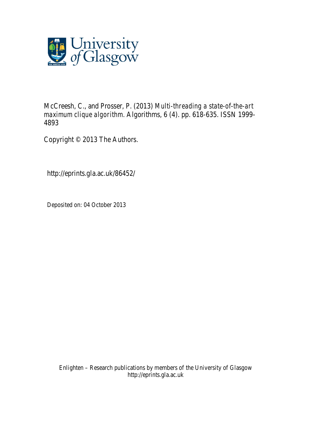

McCreesh, C., and Prosser, P. (2013) *Multi-threading a state-of-the-art maximum clique algorithm.* Algorithms, 6 (4). pp. 618-635. ISSN 1999- 4893

Copyright © 2013 The Authors.

http://eprints.gla.ac.uk/86452/

Deposited on: 04 October 2013

Enlighten – Research publications by members of the University of Glasgow http://eprints.gla.ac.uk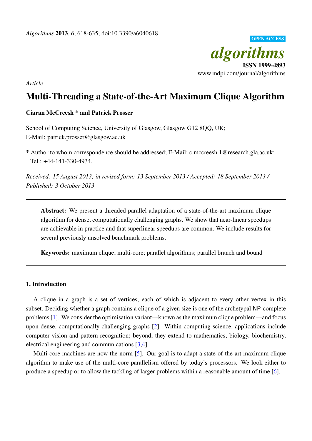

*Article*

# Multi-Threading a State-of-the-Art Maximum Clique Algorithm

# Ciaran McCreesh \* and Patrick Prosser

School of Computing Science, University of Glasgow, Glasgow G12 8QQ, UK; E-Mail: patrick.prosser@glasgow.ac.uk

\* Author to whom correspondence should be addressed; E-Mail: c.mccreesh.1@research.gla.ac.uk; Tel.: +44-141-330-4934.

*Received: 15 August 2013; in revised form: 13 September 2013 / Accepted: 18 September 2013 / Published: 3 October 2013*

Abstract: We present a threaded parallel adaptation of a state-of-the-art maximum clique algorithm for dense, computationally challenging graphs. We show that near-linear speedups are achievable in practice and that superlinear speedups are common. We include results for several previously unsolved benchmark problems.

Keywords: maximum clique; multi-core; parallel algorithms; parallel branch and bound

## 1. Introduction

A clique in a graph is a set of vertices, each of which is adjacent to every other vertex in this subset. Deciding whether a graph contains a clique of a given size is one of the archetypal NP-complete problems [\[1\]](#page-16-0). We consider the optimisation variant—known as the maximum clique problem—and focus upon dense, computationally challenging graphs [\[2\]](#page-16-1). Within computing science, applications include computer vision and pattern recognition; beyond, they extend to mathematics, biology, biochemistry, electrical engineering and communications [\[3](#page-16-2)[,4\]](#page-16-3).

Multi-core machines are now the norm [\[5\]](#page-16-4). Our goal is to adapt a state-of-the-art maximum clique algorithm to make use of the multi-core parallelism offered by today's processors. We look either to produce a speedup or to allow the tackling of larger problems within a reasonable amount of time [\[6\]](#page-16-5).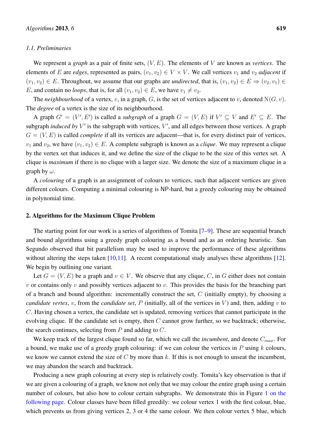## *1.1. Preliminaries*

We represent a *graph* as a pair of finite sets, (V, E). The elements of V are known as *vertices*. The elements of E are *edges*, represented as pairs,  $(v_1, v_2) \in V \times V$ . We call vertices  $v_1$  and  $v_2$  *adjacent* if  $(v_1, v_2) \in E$ . Throughout, we assume that our graphs are *undirected*, that is,  $(v_1, v_2) \in E \Rightarrow (v_2, v_1) \in E$ E, and contain no *loops*, that is, for all  $(v_1, v_2) \in E$ , we have  $v_1 \neq v_2$ .

The *neighbourhood* of a vertex, v, in a graph, G, is the set of vertices adjacent to v, denoted  $N(G, v)$ . The *degree* of a vertex is the size of its neighbourhood.

A graph  $G' = (V', E')$  is called a *subgraph* of a graph  $G = (V, E)$  if  $V' \subseteq V$  and  $E' \subseteq E$ . The subgraph *induced by*  $V'$  is the subgraph with vertices,  $V'$ , and all edges between those vertices. A graph  $G = (V, E)$  is called *complete* if all its vertices are adjacent—that is, for every distinct pair of vertices,  $v_1$  and  $v_2$ , we have  $(v_1, v_2) \in E$ . A complete subgraph is known as a *clique*. We may represent a clique by the vertex set that induces it, and we define the size of the clique to be the size of this vertex set. A clique is *maximum* if there is no clique with a larger size. We denote the size of a maximum clique in a graph by  $\omega$ .

A *colouring* of a graph is an assignment of colours to vertices, such that adjacent vertices are given different colours. Computing a minimal colouring is NP-hard, but a greedy colouring may be obtained in polynomial time.

#### 2. Algorithms for the Maximum Clique Problem

The starting point for our work is a series of algorithms of Tomita [\[7](#page-16-6)[–9\]](#page-16-7). These are sequential branch and bound algorithms using a greedy graph colouring as a bound and as an ordering heuristic. San Segundo observed that bit parallelism may be used to improve the performance of these algorithms without altering the steps taken  $[10,11]$  $[10,11]$ . A recent computational study analyses these algorithms  $[12]$ . We begin by outlining one variant.

Let  $G = (V, E)$  be a graph and  $v \in V$ . We observe that any clique, C, in G either does not contain  $v$  or contains only  $v$  and possibly vertices adjacent to  $v$ . This provides the basis for the branching part of a branch and bound algorithm: incrementally construct the set,  $C$  (initially empty), by choosing a *candidate vertex, v, from the <i>candidate set, P* (initially, all of the vertices in  $V$ ) and, then, adding  $v$  to C. Having chosen a vertex, the candidate set is updated, removing vertices that cannot participate in the evolving clique. If the candidate set is empty, then  $C$  cannot grow further, so we backtrack; otherwise, the search continues, selecting from  $P$  and adding to  $C$ .

We keep track of the largest clique found so far, which we call the *incumbent*, and denote  $C_{max}$ . For a bound, we make use of a greedy graph colouring: if we can colour the vertices in  $P$  using  $k$  colours, we know we cannot extend the size of  $C$  by more than  $k$ . If this is not enough to unseat the incumbent, we may abandon the search and backtrack.

Producing a new graph colouring at every step is relatively costly. Tomita's key observation is that if we are given a colouring of a graph, we know not only that we may colour the entire graph using a certain number of colours, but also how to colour certain subgraphs. We demonstrate this in Figure [1 on the](#page-3-0) [following page.](#page-3-0) Colour classes have been filled greedily: we colour vertex 1 with the first colour, blue, which prevents us from giving vertices 2, 3 or 4 the same colour. We then colour vertex 5 blue, which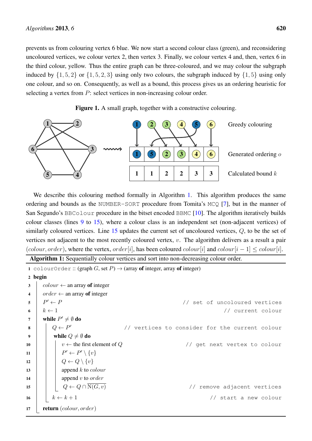prevents us from colouring vertex 6 blue. We now start a second colour class (green), and reconsidering uncoloured vertices, we colour vertex 2, then vertex 3. Finally, we colour vertex 4 and, then, vertex 6 in the third colour, yellow. Thus the entire graph can be three-coloured, and we may colour the subgraph induced by  $\{1, 5, 2\}$  or  $\{1, 5, 2, 3\}$  using only two colours, the subgraph induced by  $\{1, 5\}$  using only one colour, and so on. Consequently, as well as a bound, this process gives us an ordering heuristic for selecting a vertex from P: select vertices in non-increasing colour order.

<span id="page-3-0"></span>

Figure 1. A small graph, together with a constructive colouring.

We describe this colouring method formally in Algorithm [1.](#page-3-1) This algorithm produces the same ordering and bounds as the NUMBER-SORT procedure from Tomita's MCQ [\[7\]](#page-16-6), but in the manner of San Segundo's BBColour procedure in the bitset encoded BBMC [\[10\]](#page-16-8). The algorithm iteratively builds colour classes (lines [9](#page-3-2) to [15\)](#page-3-3), where a colour class is an independent set (non-adjacent vertices) of similarly coloured vertices. Line  $15$  updates the current set of uncoloured vertices,  $Q$ , to be the set of vertices not adjacent to the most recently coloured vertex, v. The algorithm delivers as a result a pair (colour, order), where the vertex, order[i], has been coloured colour[i] and colour[i – 1]  $\leq$  colour[i].

```
Algorithm 1: Sequentially colour vertices and sort into non-decreasing colour order.
```

```
1 colourOrder :: (graph G, set P) \rightarrow (array of integer, array of integer)
2 begin
\textbf{3} colour \leftarrow an array of integer
4 \vert order \leftarrow an array of integer
\mathbf{s} \mid P' \leftarrow P// set of uncoloured vertices
6 k \leftarrow 1 // current colour
 7 | while P' \neq \emptyset do
\begin{array}{c|c|c|c|c} \mathbf{8} & \mathbf{0} & \mathbf{0} & \mathbf{0} & \mathbf{0} & \mathbf{0} \end{array}// vertices to consider for the current colour
9 while Q \neq \emptyset do
10 v ← the first element of Q // get next vertex to colour
11 \parallel \parallel \parallel \parallelv' \leftarrow P' \setminus \{v\}12 \vert \vert \vert Q \leftarrow Q \setminus \{v\}13 | | append k to colour
14 | | | append v to order
15 \Box Q \leftarrow Q \cap \overline{\mathrm{N}(G, v)} // remove adjacent vertices
16 k \leftarrow k + 1 // start a new colour
17 return (colour, order)
```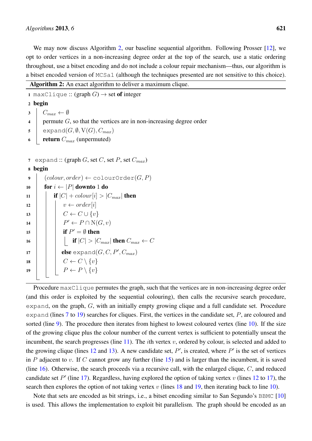We may now discuss Algorithm [2,](#page-4-0) our baseline sequential algorithm. Following Prosser [\[12\]](#page-17-1), we opt to order vertices in a non-increasing degree order at the top of the search, use a static ordering throughout, use a bitset encoding and do not include a colour repair mechanism—thus, our algorithm is a bitset encoded version of MCSa1 (although the techniques presented are not sensitive to this choice).

```
Algorithm 2: An exact algorithm to deliver a maximum clique.
```

```
1 maxClique :: (graph G) \rightarrow set of integer
2 begin
3 \mid C_{max} \leftarrow \emptyset\downarrow permute G, so that the vertices are in non-increasing degree order
5 expand(G, \emptyset, V(G), C_{max})6 return C_{max} (unpermuted)
7 expand :: (graph G, set C, set P, set C_{max})
8 begin
9 \big( (colour, order) \leftarrow colourOrder(G, P)10 for i \leftarrow |P| downto 1 do
11 if |C| + colour |i| > |C_{max}| then
12 \vert \vert \ v \leftarrow order[i]13 \vert \vert \vert \vert C \leftarrow C \cup \{v\}14 \vert \vert \vert FP' \leftarrow P \cap N(G, v)15 \parallel \parallel if P' = \emptyset then
16 if |C| > |C_{max}| then C_{max} \leftarrow C17 \parallel \parallel else \texttt{expand}(G, C, P', C_{max})18 C ← C \ {v}
19 | | P \leftarrow P \setminus \{v\}
```
<span id="page-4-12"></span><span id="page-4-11"></span><span id="page-4-10"></span><span id="page-4-9"></span><span id="page-4-8"></span><span id="page-4-7"></span><span id="page-4-6"></span><span id="page-4-5"></span><span id="page-4-2"></span><span id="page-4-0"></span>Procedure maxClique permutes the graph, such that the vertices are in non-increasing degree order (and this order is exploited by the sequential colouring), then calls the recursive search procedure, expand, on the graph, G, with an initially empty growing clique and a full candidate set. Procedure expand (lines  $7$  to  $19$ ) searches for cliques. First, the vertices in the candidate set,  $P$ , are coloured and sorted (line [9\)](#page-4-3). The procedure then iterates from highest to lowest coloured vertex (line [10\)](#page-4-4). If the size of the growing clique plus the colour number of the current vertex is sufficient to potentially unseat the incumbent, the search progresses (line  $11$ ). The *i*th vertex v, ordered by colour, is selected and added to the growing clique (lines  $12$  and  $13$ ). A new candidate set,  $P'$ , is created, where  $P'$  is the set of vertices in P adjacent to v. If C cannot grow any further (line  $15$ ) and is larger than the incumbent, it is saved (line [16\)](#page-4-9). Otherwise, the search proceeds via a recursive call, with the enlarged clique,  $C$ , and reduced candidate set  $P'$  (line [17\)](#page-4-10). Regardless, having explored the option of taking vertex v (lines [12](#page-4-6) to 17), the search then explores the option of not taking vertex v (lines [18](#page-4-11) and [19,](#page-4-2) then iterating back to line [10\)](#page-4-4).

Note that sets are encoded as bit strings, i.e., a bitset encoding similar to San Segundo's BBMC [\[10\]](#page-16-8) is used. This allows the implementation to exploit bit parallelism. The graph should be encoded as an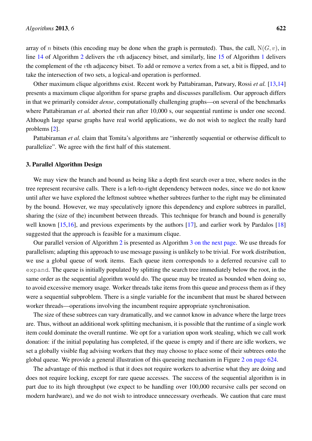array of n bitsets (this encoding may be done when the graph is permuted). Thus, the call,  $N(G, v)$ , in line [14](#page-4-12) of Algorithm [2](#page-4-0) delivers the vth adjacency bitset, and similarly, line [15](#page-3-3) of Algorithm [1](#page-3-1) delivers the complement of the vth adjacency bitset. To add or remove a vertex from a set, a bit is flipped, and to take the intersection of two sets, a logical-and operation is performed.

Other maximum clique algorithms exist. Recent work by Pattabiraman, Patwary, Rossi *et al.* [\[13,](#page-17-2)[14\]](#page-17-3) presents a maximum clique algorithm for sparse graphs and discusses parallelism. Our approach differs in that we primarily consider *dense*, computationally challenging graphs—on several of the benchmarks where Pattabiraman *et al.* aborted their run after 10,000 s, our sequential runtime is under one second. Although large sparse graphs have real world applications, we do not wish to neglect the really hard problems [\[2\]](#page-16-1).

Pattabiraman *et al.* claim that Tomita's algorithms are "inherently sequential or otherwise difficult to parallelize". We agree with the first half of this statement.

## 3. Parallel Algorithm Design

We may view the branch and bound as being like a depth first search over a tree, where nodes in the tree represent recursive calls. There is a left-to-right dependency between nodes, since we do not know until after we have explored the leftmost subtree whether subtrees further to the right may be eliminated by the bound. However, we may speculatively ignore this dependency and explore subtrees in parallel, sharing the (size of the) incumbent between threads. This technique for branch and bound is generally well known  $[15,16]$  $[15,16]$ , and previous experiments by the authors  $[17]$ , and earlier work by Pardalos  $[18]$ suggested that the approach is feasible for a maximum clique.

Our parallel version of Algorithm [2](#page-4-0) is presented as Algorithm [3 on the next page.](#page-6-0) We use threads for parallelism; adapting this approach to use message passing is unlikely to be trivial. For work distribution, we use a global queue of work items. Each queue item corresponds to a deferred recursive call to expand. The queue is initially populated by splitting the search tree immediately below the root, in the same order as the sequential algorithm would do. The queue may be treated as bounded when doing so, to avoid excessive memory usage. Worker threads take items from this queue and process them as if they were a sequential subproblem. There is a single variable for the incumbent that must be shared between worker threads—operations involving the incumbent require appropriate synchronisation.

The size of these subtrees can vary dramatically, and we cannot know in advance where the large trees are. Thus, without an additional work splitting mechanism, it is possible that the runtime of a single work item could dominate the overall runtime. We opt for a variation upon work stealing, which we call work donation: if the initial populating has completed, if the queue is empty and if there are idle workers, we set a globally visible flag advising workers that they may choose to place some of their subtrees onto the global queue. We provide a general illustration of this queueing mechanism in Figure [2 on page 624.](#page-7-0)

The advantage of this method is that it does not require workers to advertise what they are doing and does not require locking, except for rare queue accesses. The success of the sequential algorithm is in part due to its high throughput (we expect to be handling over 100,000 recursive calls per second on modern hardware), and we do not wish to introduce unnecessary overheads. We caution that care must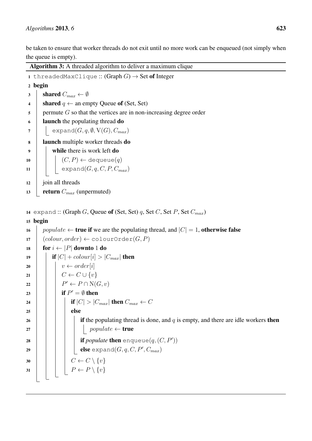be taken to ensure that worker threads do not exit until no more work can be enqueued (not simply when the queue is empty).

```
Algorithm 3: A threaded algorithm to deliver a maximum clique
1 threadedMaxClique :: (Graph G) \rightarrow Set of Integer
2 begin
3 shared C_{max} \leftarrow \emptyset4 shared q \leftarrow an empty Queue of (Set, Set)
\mathfrak{s} permute G so that the vertices are in non-increasing degree order
6 launch the populating thread do
7 \vert expand(G, q, \emptyset, V(G), C_{max})8 launch multiple worker threads do
9 | while there is work left do
10 | | | (C, P) \leftarrow dequeue(q)11 | expand(G, q, C, P, C_{max})12 join all threads
13 return C_{max} (unpermuted)
14 expand :: (Graph G, Queue of (Set, Set) q, Set C, Set P, Set C_{max})
15 begin
16 populate \leftarrow true if we are the populating thread, and |C| = 1, otherwise false
17 \big( \text{colour, order} \big) \leftarrow \text{colourOrder}(G, P)18 for i \leftarrow |P| downto 1 do
19 if |C| + colour[i] > |C_{max}| then
20 \vert \vert \ v \leftarrow order[i]21 \vert \vert \vert \vert C \leftarrow C \cup \{v\}22 \vert \vert \vert P' \leftarrow P \cap N(G, v)23 if P' = \emptyset then
24 if |C| > |C_{max}| then C_{max} \leftarrow C25 | | | else
26 if if the populating thread is done, and q is empty, and there are idle workers then
27 | | | | | populate ← true
28 \parallel if populate then \infty enqueue(q, (C, P'))\begin{array}{|c|c|c|c|}\hline \textbf{29} & & \textbf{else}~\text{expand}(G,q,C,P',C_{max})\hline \end{array}30 \begin{array}{|c|c|c|c|c|c|c|c|c|} \hline \end{array} C \leftarrow C \setminus \{v\}31 | | | P \leftarrow P \setminus \{v\}
```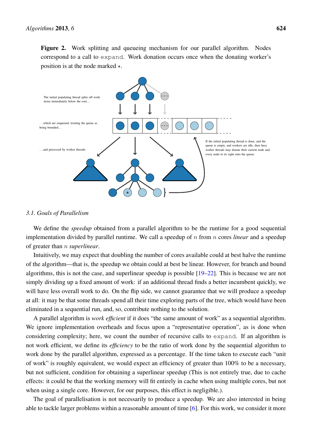<span id="page-7-0"></span>Figure 2. Work splitting and queueing mechanism for our parallel algorithm. Nodes correspond to a call to expand. Work donation occurs once when the donating worker's position is at the node marked  $\star$ .



#### *3.1. Goals of Parallelism*

We define the *speedup* obtained from a parallel algorithm to be the runtime for a good sequential implementation divided by parallel runtime. We call a speedup of n from n cores *linear* and a speedup of greater than n *superlinear*.

Intuitively, we may expect that doubling the number of cores available could at best halve the runtime of the algorithm—that is, the speedup we obtain could at best be linear. However, for branch and bound algorithms, this is not the case, and superlinear speedup is possible  $[19-22]$  $[19-22]$ . This is because we are not simply dividing up a fixed amount of work: if an additional thread finds a better incumbent quickly, we will have less overall work to do. On the flip side, we cannot guarantee that we will produce a speedup at all: it may be that some threads spend all their time exploring parts of the tree, which would have been eliminated in a sequential run, and, so, contribute nothing to the solution.

A parallel algorithm is *work efficient* if it does "the same amount of work" as a sequential algorithm. We ignore implementation overheads and focus upon a "representative operation", as is done when considering complexity; here, we count the number of recursive calls to expand. If an algorithm is not work efficient, we define its *efficiency* to be the ratio of work done by the sequential algorithm to work done by the parallel algorithm, expressed as a percentage. If the time taken to execute each "unit of work" is roughly equivalent, we would expect an efficiency of greater than 100% to be a necessary, but not sufficient, condition for obtaining a superlinear speedup (This is not entirely true, due to cache effects: it could be that the working memory will fit entirely in cache when using multiple cores, but not when using a single core. However, for our purposes, this effect is negligible.).

The goal of parallelisation is not necessarily to produce a speedup. We are also interested in being able to tackle larger problems within a reasonable amount of time [\[6\]](#page-16-5). For this work, we consider it more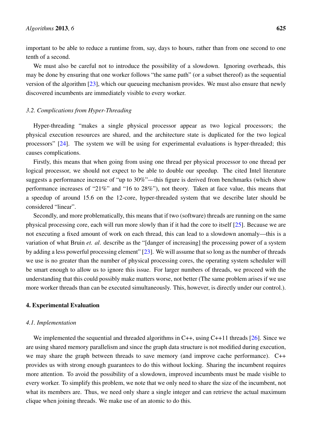important to be able to reduce a runtime from, say, days to hours, rather than from one second to one tenth of a second.

We must also be careful not to introduce the possibility of a slowdown. Ignoring overheads, this may be done by ensuring that one worker follows "the same path" (or a subset thereof) as the sequential version of the algorithm [\[23\]](#page-17-10), which our queueing mechanism provides. We must also ensure that newly discovered incumbents are immediately visible to every worker.

## *3.2. Complications from Hyper-Threading*

Hyper-threading "makes a single physical processor appear as two logical processors; the physical execution resources are shared, and the architecture state is duplicated for the two logical processors" [\[24\]](#page-17-11). The system we will be using for experimental evaluations is hyper-threaded; this causes complications.

Firstly, this means that when going from using one thread per physical processor to one thread per logical processor, we should not expect to be able to double our speedup. The cited Intel literature suggests a performance increase of "up to 30%"—this figure is derived from benchmarks (which show performance increases of "21%" and "16 to 28%"), not theory. Taken at face value, this means that a speedup of around 15.6 on the 12-core, hyper-threaded system that we describe later should be considered "linear".

Secondly, and more problematically, this means that if two (software) threads are running on the same physical processing core, each will run more slowly than if it had the core to itself [\[25\]](#page-17-12). Because we are not executing a fixed amount of work on each thread, this can lead to a slowdown anomaly—this is a variation of what Bruin *et. al*. describe as the "[danger of increasing] the processing power of a system by adding a less powerful processing element" [\[23\]](#page-17-10). We will assume that so long as the number of threads we use is no greater than the number of physical processing cores, the operating system scheduler will be smart enough to allow us to ignore this issue. For larger numbers of threads, we proceed with the understanding that this could possibly make matters worse, not better (The same problem arises if we use more worker threads than can be executed simultaneously. This, however, is directly under our control.).

## 4. Experimental Evaluation

## *4.1. Implementation*

We implemented the sequential and threaded algorithms in C++, using C++11 threads [\[26\]](#page-17-13). Since we are using shared memory parallelism and since the graph data structure is not modified during execution, we may share the graph between threads to save memory (and improve cache performance). C++ provides us with strong enough guarantees to do this without locking. Sharing the incumbent requires more attention. To avoid the possibility of a slowdown, improved incumbents must be made visible to every worker. To simplify this problem, we note that we only need to share the size of the incumbent, not what its members are. Thus, we need only share a single integer and can retrieve the actual maximum clique when joining threads. We make use of an atomic to do this.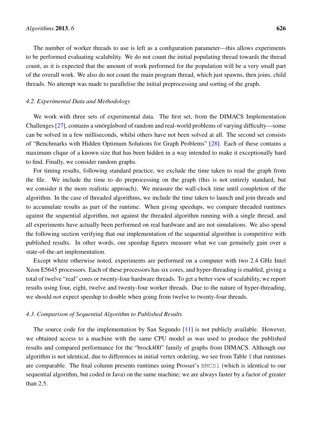The number of worker threads to use is left as a configuration parameter—this allows experiments to be performed evaluating scalability. We do not count the initial populating thread towards the thread count, as it is expected that the amount of work performed for the population will be a very small part of the overall work. We also do not count the main program thread, which just spawns, then joins, child threads. No attempt was made to parallelise the initial preprocessing and sorting of the graph.

## *4.2. Experimental Data and Methodology*

We work with three sets of experimental data. The first set, from the DIMACS Implementation Challenges  $[27]$ , contains a smorg as bord of random and real-world problems of varying difficulty—some can be solved in a few milliseconds, whilst others have not been solved at all. The second set consists of "Benchmarks with Hidden Optimum Solutions for Graph Problems" [\[28\]](#page-17-15). Each of these contains a maximum clique of a known size that has been hidden in a way intended to make it exceptionally hard to find. Finally, we consider random graphs.

For timing results, following standard practice, we exclude the time taken to read the graph from the file. We include the time to do preprocessing on the graph (this is not entirely standard, but we consider it the more realistic approach). We measure the wall-clock time until completion of the algorithm. In the case of threaded algorithms, we include the time taken to launch and join threads and to accumulate results as part of the runtime. When giving speedups, we compare threaded runtimes against the sequential algorithm, not against the threaded algorithm running with a single thread, and all experiments have actually been performed on real hardware and are not simulations. We also spend the following section verifying that our implementation of the sequential algorithm is competitive with published results. In other words, our speedup figures measure what we can genuinely gain over a state-of-the-art implementation.

Except where otherwise noted, experiments are performed on a computer with two 2.4 GHz Intel Xeon E5645 processors. Each of these processors has six cores, and hyper-threading is enabled, giving a total of twelve "real" cores or twenty-four hardware threads. To get a better view of scalability, we report results using four, eight, twelve and twenty-four worker threads. Due to the nature of hyper-threading, we should *not* expect speedup to double when going from twelve to twenty-four threads.

#### *4.3. Comparison of Sequential Algorithm to Published Results*

The source code for the implementation by San Segundo [\[11\]](#page-17-0) is not publicly available. However, we obtained access to a machine with the same CPU model as was used to produce the published results and compared performance for the "brock400" family of graphs from DIMACS. Although our algorithm is not identical, due to differences in initial vertex ordering, we see from Table [1](#page-10-0) that runtimes are comparable. The final column presents runtimes using Prosser's BMCS1 (which is identical to our sequential algorithm, but coded in Java) on the same machine; we are always faster by a factor of greater than 2.5.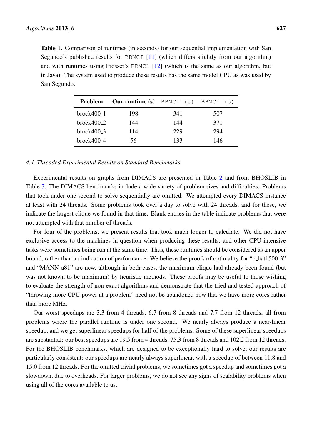<span id="page-10-0"></span>Table 1. Comparison of runtimes (in seconds) for our sequential implementation with San Segundo's published results for BBMCI [\[11\]](#page-17-0) (which differs slightly from our algorithm) and with runtimes using Prosser's BBMC1 [\[12\]](#page-17-1) (which is the same as our algorithm, but in Java). The system used to produce these results has the same model CPU as was used by San Segundo.

| <b>Problem</b> | <b>Our runtime (s)</b> BBMCI (s) BBMC1 (s) |     |     |
|----------------|--------------------------------------------|-----|-----|
| $brock400_1$   | 198                                        | 341 | 507 |
| $brock400_2$   | 144                                        | 144 | 371 |
| $brock400_3$   | 114                                        | 229 | 294 |
| $brock400_4$   | 56                                         | 133 | 146 |

#### *4.4. Threaded Experimental Results on Standard Benchmarks*

Experimental results on graphs from DIMACS are presented in Table [2](#page-11-0) and from BHOSLIB in Table [3.](#page-12-0) The DIMACS benchmarks include a wide variety of problem sizes and difficulties. Problems that took under one second to solve sequentially are omitted. We attempted every DIMACS instance at least with 24 threads. Some problems took over a day to solve with 24 threads, and for these, we indicate the largest clique we found in that time. Blank entries in the table indicate problems that were not attempted with that number of threads.

For four of the problems, we present results that took much longer to calculate. We did not have exclusive access to the machines in question when producing these results, and other CPU-intensive tasks were sometimes being run at the same time. Thus, these runtimes should be considered as an upper bound, rather than an indication of performance. We believe the proofs of optimality for "p hat1500-3" and "MANN a81" are new, although in both cases, the maximum clique had already been found (but was not known to be maximum) by heuristic methods. These proofs may be useful to those wishing to evaluate the strength of non-exact algorithms and demonstrate that the tried and tested approach of "throwing more CPU power at a problem" need not be abandoned now that we have more cores rather than more MHz.

Our worst speedups are 3.3 from 4 threads, 6.7 from 8 threads and 7.7 from 12 threads, all from problems where the parallel runtime is under one second. We nearly always produce a near-linear speedup, and we get superlinear speedups for half of the problems. Some of these superlinear speedups are substantial: our best speedups are 19.5 from 4 threads, 75.3 from 8 threads and 102.2 from 12 threads. For the BHOSLIB benchmarks, which are designed to be exceptionally hard to solve, our results are particularly consistent: our speedups are nearly always superlinear, with a speedup of between 11.8 and 15.0 from 12 threads. For the omitted trivial problems, we sometimes got a speedup and sometimes got a slowdown, due to overheads. For larger problems, we do not see any signs of scalability problems when using all of the cores available to us.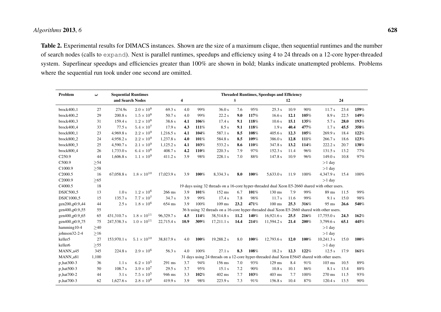# *Algorithms* <sup>2013</sup>, *<sup>6</sup>*

Table 2. Experimental results for DIMACS instances. Shown are the size of a maximum clique, then sequential runtimes and the number of search nodes (calls to expand). Next is parallel runtimes, speedups and efficiency using <sup>4</sup> to <sup>24</sup> threads on <sup>a</sup> 12-core hyper-threaded system. Superlinear speedups and efficiencies greater than 100% are shown in bold; blanks indicate unattempted problems. Problemswhere the sequential run took under one second are omitted.

<span id="page-11-0"></span>

| Problem                | $\boldsymbol{\omega}$ |             | <b>Sequential Runtimes</b> | <b>Threaded Runtimes, Speedups and Efficiency</b> |      |      |            |      |      |            |      |      |                                                                                                 |      |      |
|------------------------|-----------------------|-------------|----------------------------|---------------------------------------------------|------|------|------------|------|------|------------|------|------|-------------------------------------------------------------------------------------------------|------|------|
|                        |                       |             | and Search Nodes           |                                                   | 4    |      | 8          |      |      | 12         |      |      | 24                                                                                              |      |      |
| $brock400_1$           | 27                    | 274.9s      | $2.0\times10^8$            | 69.3 s                                            | 4.0  | 99%  | 36.0 s     | 7.6  | 95%  | 25.3 s     | 10.9 | 90%  | 11.7s                                                                                           | 23.4 | 159% |
| brock400 <sub>-2</sub> | 29                    | 200.8 s     | $1.5 \times 10^8$          | 50.7 s                                            | 4.0  | 99%  | 22.2 s     | 9.0  | 117% | 16.6 s     | 12.1 | 105% | 8.9 s                                                                                           | 22.5 | 149% |
| brock400 <sub>-3</sub> | 31                    | 159.4 s     | $1.2 \times 10^8$          | 38.6 s                                            | 4.1  | 106% | 17.4s      | 9.1  | 118% | 10.6 s     | 15.1 | 135% | 5.7 s                                                                                           | 28.0 | 193% |
| brock400 <sub>-4</sub> | 33                    | 77.5s       | $5.4\times10^7$            | 17.9 s                                            | 4.3  | 111% | 8.5 s      | 9.1  | 118% | 1.9 s      | 40.4 | 477% | 1.7 <sub>s</sub>                                                                                | 45.5 | 358% |
| brock800 <sub>-1</sub> | 23                    | 4,969.8 s   | $2.2 \times 10^{9}$        | 1,216.5 s                                         | 4.1  | 104% | 587.1 s    | 8.5  | 108% | 405.6 s    | 12.3 | 105% | 269.9 s                                                                                         | 18.4 | 122% |
| brock800 <sub>-2</sub> | 24                    | 4,958.2 s   | $2.2\times10^9$            | 1,237.8 s                                         | 4.0  | 101% | 584.8 s    | 8.5  | 109% | 386.0 s    | 12.8 | 111% | 266.7 s                                                                                         | 18.6 | 123% |
| brock800 <sub>-3</sub> | 25                    | 4,590.7 s   | $2.1 \times 10^{9}$        | 1,125.2 s                                         | 4.1  | 103% | 533.2 s    | 8.6  | 110% | 347.8 s    | 13.2 | 114% | 222.2 s                                                                                         | 20.7 | 138% |
| brock800 <sub>-4</sub> | 26                    | 1,733.0 s   | $6.4 \times 10^{8}$        | 408.7 s                                           | 4.2  | 110% | 220.3 s    | 7.9  | 97%  | 152.3 s    | 11.4 | 96%  | 131.5 s                                                                                         | 13.2 | 77%  |
| C <sub>250.9</sub>     | 44                    | 1,606.8 s   | $1.1 \times 10^{9}$        | 411.2 s                                           | 3.9  | 98%  | 228.1 s    | 7.0  | 88%  | 147.8 s    | 10.9 | 96%  | 149.0 s                                                                                         | 10.8 | 97%  |
| C500.9                 | >54                   |             |                            |                                                   |      |      |            |      |      |            |      |      | $>1$ day                                                                                        |      |      |
| C1000.9                | >58                   |             |                            |                                                   |      |      |            |      |      |            |      |      | $>1$ day                                                                                        |      |      |
| C2000.5                | 16                    | 67,058.8 s  | $1.8 \times 10^{10}$       | 17,023.9 s                                        | 3.9  | 100% | 8,334.3 s  | 8.0  | 100% | 5,633.0 s  | 11.9 | 100% | 4,347.9 s                                                                                       | 15.4 | 100% |
| C2000.9                | $>65$                 |             |                            |                                                   |      |      |            |      |      |            |      |      | $>1$ day                                                                                        |      |      |
| C4000.5                | 18                    |             |                            |                                                   |      |      |            |      |      |            |      |      | 19 days using 32 threads on a 16-core hyper-threaded dual Xeon E5-2660 shared with other users. |      |      |
| DSJC500 <sub>-5</sub>  | 13                    | 1.0 s       | $1.2 \times 10^{6}$        | 266 ms                                            | 3.9  | 101% | $152$ ms   | 6.7  | 101% | 130 ms     | 7.9  | 99%  | 89 ms                                                                                           | 11.5 | 99%  |
| DSJC1000 <sub>-5</sub> | 15                    | 135.7 s     | $7.7 \times 10^{7}$        | 34.7 s                                            | 3.9  | 99%  | 17.4 s     | 7.8  | 98%  | 11.7s      | 11.6 | 99%  | 9.1 s                                                                                           | 15.0 | 98%  |
| gen200_p0.9_44         | 44                    | 2.5 s       | $1.8 \times 10^6$          | 654 ms                                            | 3.9  | 100% | $109$ ms   | 23.2 | 471% | $100$ ms   | 25.3 | 316% | 95 ms                                                                                           | 26.6 | 540% |
| gen400_p0.9_55         | 55                    |             |                            |                                                   |      |      |            |      |      |            |      |      | 36 h using 32 threads on a 16-core hyper-threaded dual Xeon E5-2660 shared with other users.    |      |      |
| gen400_p0.9_65         | 65                    | 431,310.7 s | $1.8 \times 10^{11}$       | 96,329.7 s                                        | 4.5  | 114% | 38,514.8 s | 11.2 | 140% | 16,921.6 s | 25.5 | 216% | 17,755.0 s                                                                                      | 24.3 | 162% |
| gen400_p0.9_75         | 75                    | 247,538.3 s | $1.0 \times 10^{11}$       | 22,715.4 s                                        | 10.9 | 309% | 17,211.1 s | 14.4 | 214% | 11,594.2 s | 21.4 | 200% | 3,799.6 s                                                                                       | 65.1 | 445% |
| hamming10-4            | $\geq 40$             |             |                            |                                                   |      |      |            |      |      |            |      |      | $>1$ day                                                                                        |      |      |
| johnson32-2-4          | $>16$                 |             |                            |                                                   |      |      |            |      |      |            |      |      | $>1$ day                                                                                        |      |      |
| keller5                | 27                    | 153,970.1 s | $5.1 \times 10^{10}$       | 38,817.9 s                                        | 4.0  | 100% | 19,288.2 s | 8.0  | 100% | 12,793.6 s | 12.0 | 100% | 10,241.3 s                                                                                      | 15.0 | 100% |
| keller6                | $>55$                 |             |                            |                                                   |      |      |            |      |      |            |      |      | $>1$ day                                                                                        |      |      |
| MANN_a45               | 345                   | 224.8 s     | $2.9 \times 10^{6}$        | 56.3 s                                            | 4.0  | 100% | 27.1 s     | 8.3  | 108% | 18.2 s     | 12.3 | 122% | 12.5 s                                                                                          | 17.9 | 161% |
| MANN_a81               | 1,100                 |             |                            |                                                   |      |      |            |      |      |            |      |      | 31 days using 24 threads on a 12-core hyper-threaded dual Xeon E5645 shared with other users.   |      |      |
| p_hat300-3             | 36                    | 1.1 s       | $6.2 \times 10^5$          | 291 ms                                            | 3.7  | 94%  | 156 ms     | 7.0  | 93%  | $129$ ms   | 8.4  | 91%  | $103$ ms                                                                                        | 10.5 | 89%  |
| p_hat500-3             | 50                    | 108.7 s     | $3.9 \times 10^7$          | 29.5 s                                            | 3.7  | 95%  | 15.1 s     | 7.2  | 90%  | 10.8 s     | 10.1 | 86%  | 8.1 s                                                                                           | 13.4 | 88%  |
| p_hat700-2             | 44                    | 3.1 s       | $7.5\times10^5$            | 946 ms                                            | 3.3  | 102% | $402$ ms   | 7.7  | 103% | 403 ms     | 7.7  | 100% | 270 ms                                                                                          | 11.5 | 93%  |
| p_hat700-3             | 62                    | 1,627.6 s   | $2.8 \times 10^8$          | 419.9 s                                           | 3.9  | 98%  | 223.9 s    | 7.3  | 91%  | 156.8 s    | 10.4 | 87%  | 120.4 s                                                                                         | 13.5 | 90%  |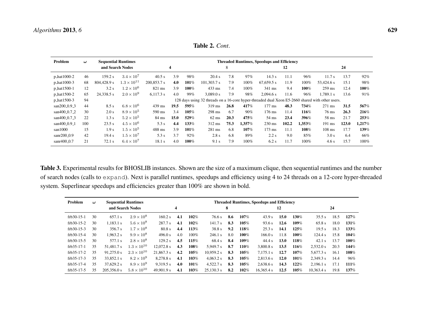$\sim$ 

| Problem                  | <b>Sequential Runtimes</b><br>$\boldsymbol{\omega}$ |                  |                      |                  |                                                                                                  | <b>Threaded Runtimes, Speedups and Efficiency</b> |                 |      |        |                  |       |        |                  |       |        |  |
|--------------------------|-----------------------------------------------------|------------------|----------------------|------------------|--------------------------------------------------------------------------------------------------|---------------------------------------------------|-----------------|------|--------|------------------|-------|--------|------------------|-------|--------|--|
|                          |                                                     | and Search Nodes |                      |                  | 4                                                                                                |                                                   |                 | 8    |        |                  | 12    |        | 24               |       |        |  |
| p_hat1000-2              | 46                                                  | 159.2 s          | $3.4 \times 10^7$    | 40.5 s           | 3.9                                                                                              | 98%                                               | 20.4 s          | 7.8  | 97%    | 14.3 s           | 11.1  | 96%    | 11.7 s           | 13.7  | 92%    |  |
| p_hat1000-3              | 68                                                  | 804,428.9 s      | $1.3 \times 10^{11}$ | 200,853.7 s      | 4.0                                                                                              | 101%                                              | 101.303.7 s     | 7.9  | 100%   | 67.659.5 s       | 11.9  | 100%   | 53.424.6 s       | 15.1  | 98%    |  |
| p_hat1500-1              | 12                                                  | 3.2 s            | $1.2 \times 10^{6}$  | $821 \text{ ms}$ | 3.9                                                                                              | 100%                                              | $433$ ms        | 7.4  | 100%   | $341$ ms         | 9.4   | 100%   | $259$ ms         | 12.4  | 100%   |  |
| p_hat1500-2              | 65                                                  | 24.338.5 s       | $2.0 \times 10^{9}$  | $6,117.3$ s      | 4.0                                                                                              | 99%                                               | 3.089.0 s       | 7.9  | 98%    | 2.094.6 s        | 11.6  | 96%    | 1.789.1 s        | 13.6  | 91%    |  |
| p_hat1500-3              | 94                                                  |                  |                      |                  | 128 days using 32 threads on a 16-core hyper-threaded dual Xeon E5-2660 shared with other users. |                                                   |                 |      |        |                  |       |        |                  |       |        |  |
| san200_0.9_3             | 44                                                  | 8.5 s            | $6.8 \times 10^6$    | $439$ ms         | 19.5                                                                                             | 595%                                              | $319$ ms        | 26.8 | 417%   | $177 \text{ ms}$ | 48.3  | 734%   | $271 \text{ ms}$ | 31.5  | 567%   |  |
| san400_0.7_2             | 30                                                  | 2.0 s            | $8.9 \times 10^{5}$  | 590 ms           | 3.4                                                                                              | 105%                                              | $298$ ms        | 6.7  | 90%    | 176 ms           | 11.4  | 116%   | $76$ ms          | 26.3  | 216%   |  |
| san400 <sub>-0.7-3</sub> | 22                                                  | 1.3 s            | $5.2 \times 10^5$    | 84 ms            | 15.0                                                                                             | 529%                                              | $62 \text{ ms}$ | 20.3 | 475%   | 54 ms            | 23.4  | 396%   | 58 ms            | 21.7  | 253%   |  |
| san400_0.9_1             | 100                                                 | 23.5 s           | $4.5 \times 10^{6}$  | 5.3 s            | 4.4                                                                                              | 133%                                              | 312 ms          | 75.3 | 1,357% | $230 \text{ ms}$ | 102.2 | 1,353% | $191$ ms         | 123.0 | 1.217% |  |
| san1000                  | 15                                                  | 1.9 <sub>s</sub> | $1.5 \times 10^5$    | $488$ ms         | 3.9                                                                                              | 101%                                              | 281 ms          | 6.8  | 107%   | $173 \text{ ms}$ | 11.1  | 108%   | $108$ ms         | 17.7  | 139%   |  |
| $san200_0.9$             | 42                                                  | 19.4 s           | $1.5 \times 10^7$    | 5.3 s            | 3.7                                                                                              | $92\%$                                            | 2.8 s           | 6.8  | 89%    | 2.2 s            | 9.0   | 85%    | 3.0 s            | 6.4   | 66%    |  |
| $sanr400_0.7$            | 21                                                  | $72.1$ s         | $6.4 \times 10^7$    | 18.1 s           | 4.0                                                                                              | 100%                                              | 9.1 s           | 7.9  | 100%   | 6.2 s            | 11.7  | 100%   | 4.6s             | 15.7  | 100%   |  |

Table 2. *Cont*.

Table 3. Experimental results for BHOSLIB instances. Shown are the size of <sup>a</sup> maximum clique, then sequential runtimes and the numberof search nodes (calls to expand). Next is parallel runtimes, speedups and efficiency using <sup>4</sup> to <sup>24</sup> threads on <sup>a</sup> 12-core hyper-threaded system. Superlinear speedups and efficiencies greater than 100% are shown in bold.

<span id="page-12-0"></span>

| Problem      | $\boldsymbol{\omega}$ | <b>Sequential Runtimes</b> |                      |              |     | <b>Threaded Runtimes, Speedups and Efficiency</b> |            |     |      |            |      |      |            |      |       |  |
|--------------|-----------------------|----------------------------|----------------------|--------------|-----|---------------------------------------------------|------------|-----|------|------------|------|------|------------|------|-------|--|
|              |                       |                            | and Search Nodes     |              | 4   |                                                   |            | 8   |      |            | 12   |      |            | 24   |       |  |
| $frb30-15-1$ | 30                    | 657.1 s                    | $2.9 \times 10^8$    | 160.2 s      | 4.1 | 102%                                              | 76.6 s     | 8.6 | 107% | 43.9 s     | 15.0 | 130% | 35.5 s     | 18.5 | 127%  |  |
| frb30-15-2   | 30                    | 1.183.1 s                  | $5.6 \times 10^8$    | 287.7 s      | 4.1 | 102%                                              | 141.7 s    | 8.3 | 105% | 93.6 s     | 12.6 | 109% | 65.8 s     | 18.0 | 131\% |  |
| $frb30-15-3$ | 30                    | 356.7 s                    | $1.7 \times 10^{8}$  | 80.8 s       | 4.4 | 113%                                              | 38.8 s     | 9.2 | 118% | 25.3 s     | 14.1 | 125% | 19.5 s     | 18.3 | 133%  |  |
| $frb30-15-4$ | 30                    | 1.963.2 s                  | $9.9 \times 10^8$    | 496.0 s      | 4.0 | $100\%$                                           | 246.1 s    | 8.0 | 100% | 166.0 s    | 11.8 | 100% | 124.4 s    | 15.8 | 104%  |  |
| frb30-15-5   | 30                    | 577.1 s                    | $2.8 \times 10^8$    | 129.2 s      | 4.5 | 115%                                              | 68.4 s     | 8.4 | 109% | 44.4 s     | 13.0 | 118% | $42.1$ s   | 13.7 | 100%  |  |
| $frb35-17-1$ | 35                    | 51.481.7 s                 | $1.3 \times 10^{10}$ | $12,072.8$ s | 4.3 | 108%                                              | 5.949.7 s  | 8.7 | 110% | 3.800.8 s  | 13.5 | 116% | 2.532.0 s  | 20.3 | 144%  |  |
| $frb35-17-2$ | 35                    | 91.275.0 s                 | $2.3 \times 10^{10}$ | 21,867.3 s   | 4.2 | 105%                                              | 10.959.2 s | 8.3 | 105% | 7.175.1 s  | 12.7 | 107% | 5.677.3 s  | 16.1 | 108%  |  |
| $frb35-17-3$ | 35                    | 33,852.1 s                 | $8.2 \times 10^9$    | 8,278.8 s    | 4.1 | 103%                                              | 4.063.2 s  | 8.3 | 105% | 2.813.6 s  | 12.0 | 101% | 2.349.3 s  | 14.4 | 96%   |  |
| $frb35-17-4$ | 35                    | 37,629.2 s                 | $8.9 \times 10^9$    | 9,319.5 s    | 4.0 | 101%                                              | 4,522.7 s  | 8.3 | 105% | 2,638.6 s  | 14.3 | 122% | 2.196.1 s  | 17.1 | 111%  |  |
| frb35-17-5   | 35                    | 205,356.0 s                | $5.8 \times 10^{10}$ | 49,901.9 s   | 4.1 | 103%                                              | 25.130.3 s | 8.2 | 102% | 16,365.4 s | 12.5 | 105% | 10,363.4 s | 19.8 | 137%  |  |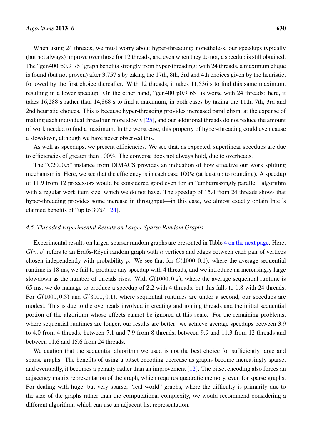When using 24 threads, we must worry about hyper-threading; nonetheless, our speedups typically (but not always) improve over those for 12 threads, and even when they do not, a speedup is still obtained. The "gen400<sub>-p</sub>0.9<sub>-</sub>75" graph benefits strongly from hyper-threading: with 24 threads, a maximum clique is found (but not proven) after 3,757 s by taking the 17th, 8th, 3rd and 4th choices given by the heuristic, followed by the first choice thereafter. With 12 threads, it takes 11,536 s to find this same maximum, resulting in a lower speedup. On the other hand, "gen400<sub>-p0.9</sub>-65" is worse with 24 threads: here, it takes 16,288 s rather than 14,868 s to find a maximum, in both cases by taking the 11th, 7th, 3rd and 2nd heuristic choices. This is because hyper-threading provides increased parallelism, at the expense of making each individual thread run more slowly [\[25\]](#page-17-12), and our additional threads do not reduce the amount of work needed to find a maximum. In the worst case, this property of hyper-threading could even cause a slowdown, although we have never observed this.

As well as speedups, we present efficiencies. We see that, as expected, superlinear speedups are due to efficiencies of greater than 100%. The converse does not always hold, due to overheads.

The "C2000.5" instance from DIMACS provides an indication of how effective our work splitting mechanism is. Here, we see that the efficiency is in each case 100% (at least up to rounding). A speedup of 11.9 from 12 processors would be considered good even for an "embarrassingly parallel" algorithm with a regular work item size, which we do not have. The speedup of 15.4 from 24 threads shows that hyper-threading provides some increase in throughput—in this case, we almost exactly obtain Intel's claimed benefits of "up to 30%" [\[24\]](#page-17-11).

## *4.5. Threaded Experimental Results on Larger Sparse Random Graphs*

Experimental results on larger, sparser random graphs are presented in Table [4 on the next page.](#page-13-0) Here,  $G(n, p)$  refers to an Erdős-Réyni random graph with n vertices and edges between each pair of vertices chosen independently with probability p. We see that for  $G(1000, 0.1)$ , where the average sequential runtime is 18 ms, we fail to produce any speedup with 4 threads, and we introduce an increasingly large slowdown as the number of threads rises. With  $G(1000, 0.2)$ , where the average sequential runtime is 65 ms, we do manage to produce a speedup of 2.2 with 4 threads, but this falls to 1.8 with 24 threads. For  $G(1000, 0.3)$  and  $G(3000, 0.1)$ , where sequential runtimes are under a second, our speedups are modest. This is due to the overheads involved in creating and joining threads and the initial sequential portion of the algorithm whose effects cannot be ignored at this scale. For the remaining problems, where sequential runtimes are longer, our results are better: we achieve average speedups between 3.9 to 4.0 from 4 threads, between 7.1 and 7.9 from 8 threads, between 9.9 and 11.3 from 12 threads and between 11.6 and 15.6 from 24 threads.

<span id="page-13-0"></span>We caution that the sequential algorithm we used is not the best choice for sufficiently large and sparse graphs. The benefits of using a bitset encoding decrease as graphs become increasingly sparse, and eventually, it becomes a penalty rather than an improvement [\[12\]](#page-17-1). The bitset encoding also forces an adjacency matrix representation of the graph, which requires quadratic memory, even for sparse graphs. For dealing with huge, but very sparse, "real world" graphs, where the difficulty is primarily due to the size of the graphs rather than the computational complexity, we would recommend considering a different algorithm, which can use an adjacent list representation.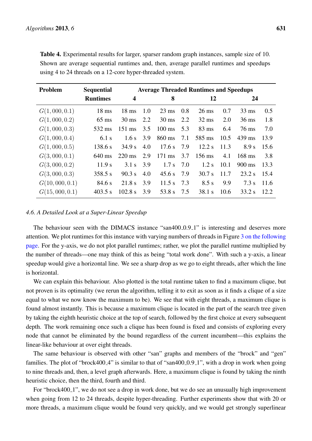| Problem       | <b>Sequential</b> | <b>Average Threaded Runtimes and Speedups</b> |     |                  |     |                 |      |                  |      |  |  |  |
|---------------|-------------------|-----------------------------------------------|-----|------------------|-----|-----------------|------|------------------|------|--|--|--|
|               | <b>Runtimes</b>   | $\boldsymbol{4}$                              |     | 8                |     | 12              |      | 24               |      |  |  |  |
| G(1,000,0.1)  | $18 \text{ ms}$   | $18 \text{ ms}$                               | 1.0 | $23 \text{ ms}$  | 0.8 | $26 \text{ ms}$ | 0.7  | $33 \text{ ms}$  | 0.5  |  |  |  |
| G(1,000,0.2)  | $65 \text{ ms}$   | $30 \text{ ms}$                               | 2.2 | $30 \text{ ms}$  | 2.2 | $32 \text{ ms}$ | 2.0  | $36 \text{ ms}$  | 1.8  |  |  |  |
| G(1,000,0.3)  | 532 ms            | $151 \text{ ms}$                              | 3.5 | $100 \text{ ms}$ | 5.3 | $83 \text{ ms}$ | 6.4  | $76 \text{ ms}$  | 7.0  |  |  |  |
| G(1,000,0.4)  | $6.1$ s           | 1.6 s                                         | 3.9 | 860 ms           | 7.1 | 585 ms          | 10.5 | $439$ ms         | 13.9 |  |  |  |
| G(1,000,0.5)  | 138.6 s           | 34.9 s                                        | 4.0 | 17.6 s           | 7.9 | 12.2 s          | 11.3 | 8.9 s            | 15.6 |  |  |  |
| G(3,000,0.1)  | 640 ms            | $220 \text{ ms}$                              | 2.9 | 171 ms           | 3.7 | 156 ms          | 4.1  | $168$ ms         | 3.8  |  |  |  |
| G(3,000,0.2)  | 11.9 s            | 3.1 s                                         | 3.9 | 1.7 s            | 7.0 | $1.2$ s         | 10.1 | $900 \text{ ms}$ | 13.3 |  |  |  |
| G(3,000,0.3)  | 358.5 s           | 90.3 s                                        | 4.0 | 45.6 s           | 7.9 | 30.7 s          | 11.7 | 23.2 s           | 15.4 |  |  |  |
| G(10,000,0.1) | 84.6 s            | 21.8 s                                        | 3.9 | 11.5 s           | 7.3 | 8.5 s           | 9.9  | 7.3 s            | 11.6 |  |  |  |
| G(15,000,0.1) | $403.5$ s         | $102.8$ s                                     | 3.9 | 53.8 s           | 7.5 | $38.1$ s        | 10.6 | 33.2 s           | 12.2 |  |  |  |

Table 4. Experimental results for larger, sparser random graph instances, sample size of 10. Shown are average sequential runtimes and, then, average parallel runtimes and speedups using 4 to 24 threads on a 12-core hyper-threaded system.

#### *4.6. A Detailed Look at a Super-Linear Speedup*

The behaviour seen with the DIMACS instance "san400\_0.9\_1" is interesting and deserves more attention. We plot runtimes for this instance with varying numbers of threads in Figure [3 on the following](#page-15-0) [page.](#page-15-0) For the y-axis, we do not plot parallel runtimes; rather, we plot the parallel runtime multiplied by the number of threads—one may think of this as being "total work done". With such a y-axis, a linear speedup would give a horizontal line. We see a sharp drop as we go to eight threads, after which the line is horizontal.

We can explain this behaviour. Also plotted is the total runtime taken to find a maximum clique, but not proven is its optimality (we rerun the algorithm, telling it to exit as soon as it finds a clique of a size equal to what we now know the maximum to be). We see that with eight threads, a maximum clique is found almost instantly. This is because a maximum clique is located in the part of the search tree given by taking the eighth heuristic choice at the top of search, followed by the first choice at every subsequent depth. The work remaining once such a clique has been found is fixed and consists of exploring every node that cannot be eliminated by the bound regardless of the current incumbent—this explains the linear-like behaviour at over eight threads.

The same behaviour is observed with other "san" graphs and members of the "brock" and "gen" families. The plot of "brock400<sub>-</sub>4" is similar to that of "san400<sub>-</sub>0.9<sub>-1</sub>", with a drop in work when going to nine threads and, then, a level graph afterwards. Here, a maximum clique is found by taking the ninth heuristic choice, then the third, fourth and third.

For "brock400<sub>-1</sub>", we do not see a drop in work done, but we do see an unusually high improvement when going from 12 to 24 threads, despite hyper-threading. Further experiments show that with 20 or more threads, a maximum clique would be found very quickly, and we would get strongly superlinear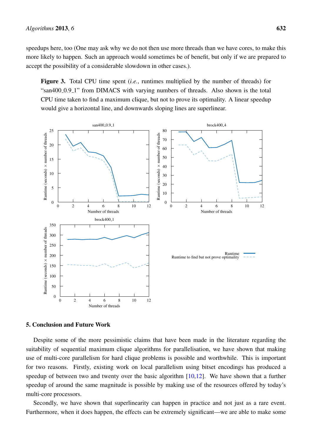speedups here, too (One may ask why we do not then use more threads than we have cores, to make this more likely to happen. Such an approach would sometimes be of benefit, but only if we are prepared to accept the possibility of a considerable slowdown in other cases.).

<span id="page-15-0"></span>Figure 3. Total CPU time spent (*i.e.*, runtimes multiplied by the number of threads) for "san400\_0.9\_1" from DIMACS with varying numbers of threads. Also shown is the total CPU time taken to find a maximum clique, but not to prove its optimality. A linear speedup would give a horizontal line, and downwards sloping lines are superlinear.



## 5. Conclusion and Future Work

Despite some of the more pessimistic claims that have been made in the literature regarding the suitability of sequential maximum clique algorithms for parallelisation, we have shown that making use of multi-core parallelism for hard clique problems is possible and worthwhile. This is important for two reasons. Firstly, existing work on local parallelism using bitset encodings has produced a speedup of between two and twenty over the basic algorithm  $[10,12]$  $[10,12]$ . We have shown that a further speedup of around the same magnitude is possible by making use of the resources offered by today's multi-core processors.

Secondly, we have shown that superlinearity can happen in practice and not just as a rare event. Furthermore, when it does happen, the effects can be extremely significant—we are able to make some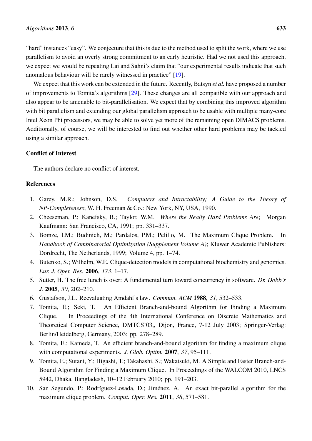"hard" instances "easy". We conjecture that this is due to the method used to split the work, where we use parallelism to avoid an overly strong commitment to an early heuristic. Had we not used this approach, we expect we would be repeating Lai and Sahni's claim that "our experimental results indicate that such anomalous behaviour will be rarely witnessed in practice" [\[19\]](#page-17-8).

We expect that this work can be extended in the future. Recently, Batsyn *et al.* have proposed a number of improvements to Tomita's algorithms [\[29\]](#page-18-0). These changes are all compatible with our approach and also appear to be amenable to bit-parallelisation. We expect that by combining this improved algorithm with bit parallelism and extending our global parallelism approach to be usable with multiple many-core Intel Xeon Phi processors, we may be able to solve yet more of the remaining open DIMACS problems. Additionally, of course, we will be interested to find out whether other hard problems may be tackled using a similar approach.

## Conflict of Interest

The authors declare no conflict of interest.

## References

- <span id="page-16-0"></span>1. Garey, M.R.; Johnson, D.S. *Computers and Intractability; A Guide to the Theory of NP-Completeness*; W. H. Freeman & Co.: New York, NY, USA, 1990.
- <span id="page-16-1"></span>2. Cheeseman, P.; Kanefsky, B.; Taylor, W.M. *Where the Really Hard Problems Are*; Morgan Kaufmann: San Francisco, CA, 1991; pp. 331–337.
- <span id="page-16-2"></span>3. Bomze, I.M.; Budinich, M.; Pardalos, P.M.; Pelillo, M. The Maximum Clique Problem. In *Handbook of Combinatorial Optimization (Supplement Volume A)*; Kluwer Academic Publishers: Dordrecht, The Netherlands, 1999; Volume 4, pp. 1–74.
- <span id="page-16-3"></span>4. Butenko, S.; Wilhelm, W.E. Clique-detection models in computational biochemistry and genomics. *Eur. J. Oper. Res.* 2006, *173*, 1–17.
- <span id="page-16-4"></span>5. Sutter, H. The free lunch is over: A fundamental turn toward concurrency in software. *Dr. Dobb's J.* 2005, *30*, 202–210.
- <span id="page-16-5"></span>6. Gustafson, J.L. Reevaluating Amdahl's law. *Commun. ACM* 1988, *31*, 532–533.
- <span id="page-16-6"></span>7. Tomita, E.; Seki, T. An Efficient Branch-and-bound Algorithm for Finding a Maximum Clique. In Proceedings of the 4th International Conference on Discrete Mathematics and Theoretical Computer Science, DMTCS'03,, Dijon, France, 7-12 July 2003; Springer-Verlag: Berlin/Heidelberg, Germany, 2003; pp. 278–289.
- 8. Tomita, E.; Kameda, T. An efficient branch-and-bound algorithm for finding a maximum clique with computational experiments. *J. Glob. Optim.* 2007, *37*, 95–111.
- <span id="page-16-7"></span>9. Tomita, E.; Sutani, Y.; Higashi, T.; Takahashi, S.; Wakatsuki, M. A Simple and Faster Branch-and-Bound Algorithm for Finding a Maximum Clique. In Proceedings of the WALCOM 2010, LNCS 5942, Dhaka, Bangladesh, 10–12 February 2010; pp. 191–203.
- <span id="page-16-8"></span>10. San Segundo, P.; Rodríguez-Losada, D.; Jiménez, A. An exact bit-parallel algorithm for the maximum clique problem. *Comput. Oper. Res.* 2011, *38*, 571–581.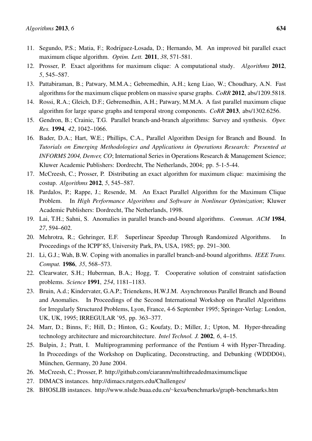- <span id="page-17-0"></span>11. Segundo, P.S.; Matia, F.; Rodríguez-Losada, D.; Hernando, M. An improved bit parallel exact maximum clique algorithm. *Optim. Lett.* 2011, *38*, 571-581.
- <span id="page-17-1"></span>12. Prosser, P. Exact algorithms for maximum clique: A computational study. *Algorithms* 2012, *5*, 545–587.
- <span id="page-17-2"></span>13. Pattabiraman, B.; Patwary, M.M.A.; Gebremedhin, A.H.; keng Liao, W.; Choudhary, A.N. Fast algorithms for the maximum clique problem on massive sparse graphs. *CoRR* 2012, abs/1209.5818.
- <span id="page-17-3"></span>14. Rossi, R.A.; Gleich, D.F.; Gebremedhin, A.H.; Patwary, M.M.A. A fast parallel maximum clique algorithm for large sparse graphs and temporal strong components. *CoRR* 2013, abs/1302.6256.
- <span id="page-17-4"></span>15. Gendron, B.; Crainic, T.G. Parallel branch-and-branch algorithms: Survey and synthesis. *Oper. Res.* 1994, *42*, 1042–1066.
- <span id="page-17-5"></span>16. Bader, D.A.; Hart, W.E.; Phillips, C.A., Parallel Algorithm Design for Branch and Bound. In *Tutorials on Emerging Methodologies and Applications in Operations Research: Presented at INFORMS 2004, Denver, CO*; International Series in Operations Research & Management Science; Kluwer Academic Publishers: Dordrecht, The Netherlands, 2004; pp. 5-1-5-44.
- <span id="page-17-6"></span>17. McCreesh, C.; Prosser, P. Distributing an exact algorithm for maximum clique: maximising the costup. *Algorithms* 2012, *5*, 545–587.
- <span id="page-17-7"></span>18. Pardalos, P.; Rappe, J.; Resende, M. An Exact Parallel Algorithm for the Maximum Clique Problem. In *High Performance Algorithms and Software in Nonlinear Optimization*; Kluwer Academic Publishers: Dordrecht, The Netherlands, 1998.
- <span id="page-17-8"></span>19. Lai, T.H.; Sahni, S. Anomalies in parallel branch-and-bound algorithms. *Commun. ACM* 1984, *27*, 594–602.
- 20. Mehrotra, R.; Gehringer, E.F. Superlinear Speedup Through Randomized Algorithms. In Proceedings of the ICPP'85, University Park, PA, USA, 1985; pp. 291–300.
- 21. Li, G.J.; Wah, B.W. Coping with anomalies in parallel branch-and-bound algorithms. *IEEE Trans. Comput.* 1986, *35*, 568–573.
- <span id="page-17-9"></span>22. Clearwater, S.H.; Huberman, B.A.; Hogg, T. Cooperative solution of constraint satisfaction problems. *Science* 1991, *254*, 1181–1183.
- <span id="page-17-10"></span>23. Bruin, A.d.; Kindervater, G.A.P.; Trienekens, H.W.J.M. Asynchronous Parallel Branch and Bound and Anomalies. In Proceedings of the Second International Workshop on Parallel Algorithms for Irregularly Structured Problems, Lyon, France, 4-6 September 1995; Springer-Verlag: London, UK, UK, 1995; IRREGULAR '95, pp. 363–377.
- <span id="page-17-11"></span>24. Marr, D.; Binns, F.; Hill, D.; Hinton, G.; Koufaty, D.; Miller, J.; Upton, M. Hyper-threading technology architecture and microarchitecture. *Intel Technol. J.* 2002, *6*, 4–15.
- <span id="page-17-12"></span>25. Bulpin, J.; Pratt, I. Multiprogramming performance of the Pentium 4 with Hyper-Threading. In Proceedings of the Workshop on Duplicating, Deconstructing, and Debunking (WDDD04), München, Germany, 20 June 2004.
- <span id="page-17-13"></span>26. McCreesh, C.; Prosser, P. <http://github.com/ciaranm/multithreadedmaximumclique>
- <span id="page-17-14"></span>27. DIMACS instances. <http://dimacs.rutgers.edu/Challenges/>
- <span id="page-17-15"></span>28. BHOSLIB instances. http://www.nlsde.buaa.edu.cn/∼[kexu/benchmarks/graph-benchmarks.htm](http://www.nlsde.buaa.edu.cn/~kexu/benchmarks/graph-benchmarks.htm)